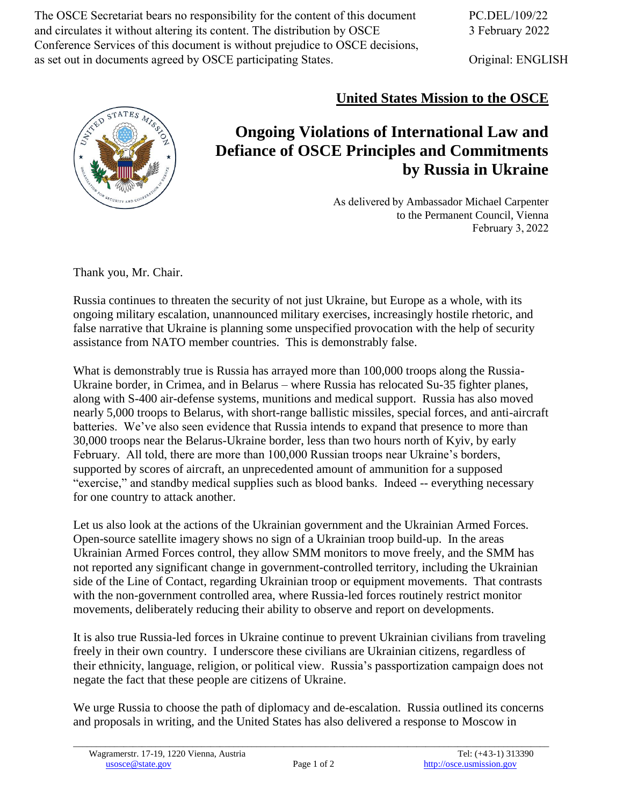The OSCE Secretariat bears no responsibility for the content of this document and circulates it without altering its content. The distribution by OSCE Conference Services of this document is without prejudice to OSCE decisions, as set out in documents agreed by OSCE participating States.

Original: ENGLISH



## **United States Mission to the OSCE**

## **Ongoing Violations of International Law and Defiance of OSCE Principles and Commitments by Russia in Ukraine**

As delivered by Ambassador Michael Carpenter to the Permanent Council, Vienna February 3, 2022

Thank you, Mr. Chair.

Russia continues to threaten the security of not just Ukraine, but Europe as a whole, with its ongoing military escalation, unannounced military exercises, increasingly hostile rhetoric, and false narrative that Ukraine is planning some unspecified provocation with the help of security assistance from NATO member countries. This is demonstrably false.

What is demonstrably true is Russia has arrayed more than 100,000 troops along the Russia-Ukraine border, in Crimea, and in Belarus – where Russia has relocated Su-35 fighter planes, along with S-400 air-defense systems, munitions and medical support. Russia has also moved nearly 5,000 troops to Belarus, with short-range ballistic missiles, special forces, and anti-aircraft batteries. We've also seen evidence that Russia intends to expand that presence to more than 30,000 troops near the Belarus-Ukraine border, less than two hours north of Kyiv, by early February. All told, there are more than 100,000 Russian troops near Ukraine's borders, supported by scores of aircraft, an unprecedented amount of ammunition for a supposed "exercise," and standby medical supplies such as blood banks. Indeed -- everything necessary for one country to attack another.

Let us also look at the actions of the Ukrainian government and the Ukrainian Armed Forces. Open-source satellite imagery shows no sign of a Ukrainian troop build-up. In the areas Ukrainian Armed Forces control, they allow SMM monitors to move freely, and the SMM has not reported any significant change in government-controlled territory, including the Ukrainian side of the Line of Contact, regarding Ukrainian troop or equipment movements. That contrasts with the non-government controlled area, where Russia-led forces routinely restrict monitor movements, deliberately reducing their ability to observe and report on developments.

It is also true Russia-led forces in Ukraine continue to prevent Ukrainian civilians from traveling freely in their own country. I underscore these civilians are Ukrainian citizens, regardless of their ethnicity, language, religion, or political view. Russia's passportization campaign does not negate the fact that these people are citizens of Ukraine.

We urge Russia to choose the path of diplomacy and de-escalation. Russia outlined its concerns and proposals in writing, and the United States has also delivered a response to Moscow in

\_\_\_\_\_\_\_\_\_\_\_\_\_\_\_\_\_\_\_\_\_\_\_\_\_\_\_\_\_\_\_\_\_\_\_\_\_\_\_\_\_\_\_\_\_\_\_\_\_\_\_\_\_\_\_\_\_\_\_\_\_\_\_\_\_\_\_\_\_\_\_\_\_\_\_\_\_\_\_\_\_\_\_\_\_\_\_\_\_\_\_\_\_\_\_\_\_\_\_\_\_\_\_\_